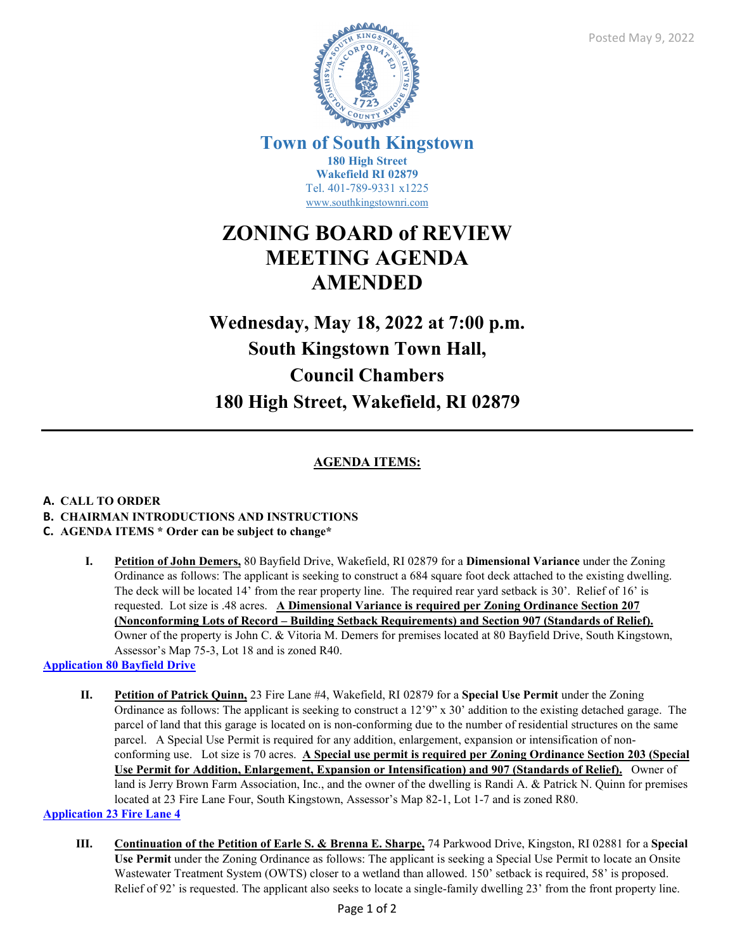

**Town of South Kingstown 180 High Street Wakefield RI 02879** Tel. 401-789-9331 x1225 [www.southkingstownri.com](http://www.southkingstownri.com/)

# **ZONING BOARD of REVIEW MEETING AGENDA AMENDED**

# **Wednesday, May 18, 2022 at 7:00 p.m. South Kingstown Town Hall, Council Chambers 180 High Street, Wakefield, RI 02879**

## **AGENDA ITEMS:**

## **A. CALL TO ORDER B. CHAIRMAN INTRODUCTIONS AND INSTRUCTIONS**

## **C. AGENDA ITEMS \* Order can be subject to change\***

**I. Petition of John Demers,** 80 Bayfield Drive, Wakefield, RI 02879 for a **Dimensional Variance** under the Zoning Ordinance as follows: The applicant is seeking to construct a 684 square foot deck attached to the existing dwelling. The deck will be located 14' from the rear property line. The required rear yard setback is 30'. Relief of 16' is requested. Lot size is .48 acres. **A Dimensional Variance is required per Zoning Ordinance Section 207 (Nonconforming Lots of Record – Building Setback Requirements) and Section 907 (Standards of Relief).** Owner of the property is John C. & Vitoria M. Demers for premises located at 80 Bayfield Drive, South Kingstown, Assessor's Map 75-3, Lot 18 and is zoned R40.

## **[Application 80 Bayfield Drive](https://www.southkingstownri.com/DocumentCenter/View/9804/80-Bayfield-Drive-Application)**

**II. Petition of Patrick Quinn,** 23 Fire Lane #4, Wakefield, RI 02879 for a **Special Use Permit** under the Zoning Ordinance as follows: The applicant is seeking to construct a 12'9" x 30' addition to the existing detached garage. The parcel of land that this garage is located on is non-conforming due to the number of residential structures on the same parcel. A Special Use Permit is required for any addition, enlargement, expansion or intensification of nonconforming use. Lot size is 70 acres. **A Special use permit is required per Zoning Ordinance Section 203 (Special Use Permit for Addition, Enlargement, Expansion or Intensification) and 907 (Standards of Relief).** Owner of land is Jerry Brown Farm Association, Inc., and the owner of the dwelling is Randi A. & Patrick N. Quinn for premises located at 23 Fire Lane Four, South Kingstown, Assessor's Map 82-1, Lot 1-7 and is zoned R80.

**[Application 23 Fire Lane 4](https://www.southkingstownri.com/DocumentCenter/View/9802/23-Fire-Lane-Four-Application)**

**III. Continuation of the Petition of Earle S. & Brenna E. Sharpe,** 74 Parkwood Drive, Kingston, RI 02881 for a **Special Use Permit** under the Zoning Ordinance as follows: The applicant is seeking a Special Use Permit to locate an Onsite Wastewater Treatment System (OWTS) closer to a wetland than allowed. 150' setback is required, 58' is proposed. Relief of 92' is requested. The applicant also seeks to locate a single-family dwelling 23' from the front property line.